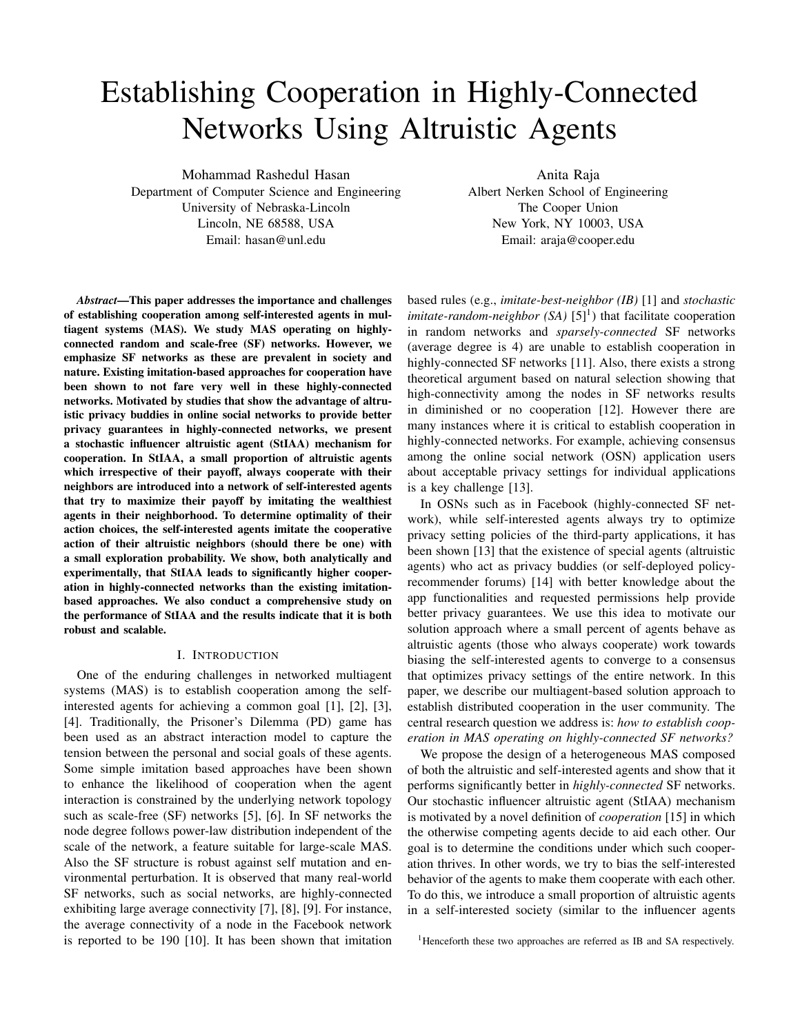# Establishing Cooperation in Highly-Connected Networks Using Altruistic Agents

Mohammad Rashedul Hasan

Anita Raja

Department of Computer Science and Engineering University of Nebraska-Lincoln Lincoln, NE 68588, USA Email: hasan@unl.edu

Albert Nerken School of Engineering The Cooper Union New York, NY 10003, USA Email: araja@cooper.edu

*Abstract*—This paper addresses the importance and challenges of establishing cooperation among self-interested agents in multiagent systems (MAS). We study MAS operating on highlyconnected random and scale-free (SF) networks. However, we emphasize SF networks as these are prevalent in society and nature. Existing imitation-based approaches for cooperation have been shown to not fare very well in these highly-connected networks. Motivated by studies that show the advantage of altruistic privacy buddies in online social networks to provide better privacy guarantees in highly-connected networks, we present a stochastic influencer altruistic agent (StIAA) mechanism for cooperation. In StIAA, a small proportion of altruistic agents which irrespective of their payoff, always cooperate with their neighbors are introduced into a network of self-interested agents that try to maximize their payoff by imitating the wealthiest agents in their neighborhood. To determine optimality of their action choices, the self-interested agents imitate the cooperative action of their altruistic neighbors (should there be one) with a small exploration probability. We show, both analytically and experimentally, that StIAA leads to significantly higher cooperation in highly-connected networks than the existing imitationbased approaches. We also conduct a comprehensive study on the performance of StIAA and the results indicate that it is both robust and scalable.

## I. INTRODUCTION

One of the enduring challenges in networked multiagent systems (MAS) is to establish cooperation among the selfinterested agents for achieving a common goal [1], [2], [3], [4]. Traditionally, the Prisoner's Dilemma (PD) game has been used as an abstract interaction model to capture the tension between the personal and social goals of these agents. Some simple imitation based approaches have been shown to enhance the likelihood of cooperation when the agent interaction is constrained by the underlying network topology such as scale-free (SF) networks [5], [6]. In SF networks the node degree follows power-law distribution independent of the scale of the network, a feature suitable for large-scale MAS. Also the SF structure is robust against self mutation and environmental perturbation. It is observed that many real-world SF networks, such as social networks, are highly-connected exhibiting large average connectivity [7], [8], [9]. For instance, the average connectivity of a node in the Facebook network is reported to be 190 [10]. It has been shown that imitation based rules (e.g., *imitate-best-neighbor (IB)* [1] and *stochastic imitate-random-neighbor* (SA)  $[5]^1$ ) that facilitate cooperation in random networks and *sparsely-connected* SF networks (average degree is 4) are unable to establish cooperation in highly-connected SF networks [11]. Also, there exists a strong theoretical argument based on natural selection showing that high-connectivity among the nodes in SF networks results in diminished or no cooperation [12]. However there are many instances where it is critical to establish cooperation in highly-connected networks. For example, achieving consensus among the online social network (OSN) application users about acceptable privacy settings for individual applications is a key challenge [13].

In OSNs such as in Facebook (highly-connected SF network), while self-interested agents always try to optimize privacy setting policies of the third-party applications, it has been shown [13] that the existence of special agents (altruistic agents) who act as privacy buddies (or self-deployed policyrecommender forums) [14] with better knowledge about the app functionalities and requested permissions help provide better privacy guarantees. We use this idea to motivate our solution approach where a small percent of agents behave as altruistic agents (those who always cooperate) work towards biasing the self-interested agents to converge to a consensus that optimizes privacy settings of the entire network. In this paper, we describe our multiagent-based solution approach to establish distributed cooperation in the user community. The central research question we address is: *how to establish cooperation in MAS operating on highly-connected SF networks?*

We propose the design of a heterogeneous MAS composed of both the altruistic and self-interested agents and show that it performs significantly better in *highly-connected* SF networks. Our stochastic influencer altruistic agent (StIAA) mechanism is motivated by a novel definition of *cooperation* [15] in which the otherwise competing agents decide to aid each other. Our goal is to determine the conditions under which such cooperation thrives. In other words, we try to bias the self-interested behavior of the agents to make them cooperate with each other. To do this, we introduce a small proportion of altruistic agents in a self-interested society (similar to the influencer agents

<sup>&</sup>lt;sup>1</sup>Henceforth these two approaches are referred as IB and SA respectively.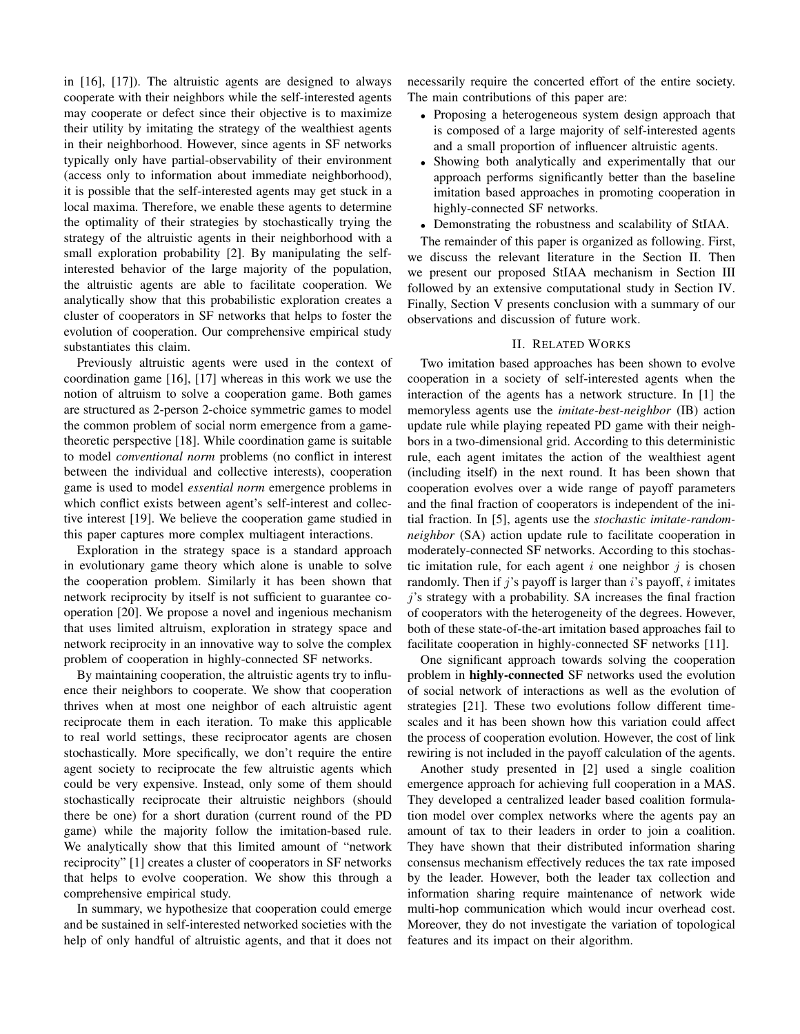in [16], [17]). The altruistic agents are designed to always cooperate with their neighbors while the self-interested agents may cooperate or defect since their objective is to maximize their utility by imitating the strategy of the wealthiest agents in their neighborhood. However, since agents in SF networks typically only have partial-observability of their environment (access only to information about immediate neighborhood), it is possible that the self-interested agents may get stuck in a local maxima. Therefore, we enable these agents to determine the optimality of their strategies by stochastically trying the strategy of the altruistic agents in their neighborhood with a small exploration probability [2]. By manipulating the selfinterested behavior of the large majority of the population, the altruistic agents are able to facilitate cooperation. We analytically show that this probabilistic exploration creates a cluster of cooperators in SF networks that helps to foster the evolution of cooperation. Our comprehensive empirical study substantiates this claim.

Previously altruistic agents were used in the context of coordination game [16], [17] whereas in this work we use the notion of altruism to solve a cooperation game. Both games are structured as 2-person 2-choice symmetric games to model the common problem of social norm emergence from a gametheoretic perspective [18]. While coordination game is suitable to model *conventional norm* problems (no conflict in interest between the individual and collective interests), cooperation game is used to model *essential norm* emergence problems in which conflict exists between agent's self-interest and collective interest [19]. We believe the cooperation game studied in this paper captures more complex multiagent interactions.

Exploration in the strategy space is a standard approach in evolutionary game theory which alone is unable to solve the cooperation problem. Similarly it has been shown that network reciprocity by itself is not sufficient to guarantee cooperation [20]. We propose a novel and ingenious mechanism that uses limited altruism, exploration in strategy space and network reciprocity in an innovative way to solve the complex problem of cooperation in highly-connected SF networks.

By maintaining cooperation, the altruistic agents try to influence their neighbors to cooperate. We show that cooperation thrives when at most one neighbor of each altruistic agent reciprocate them in each iteration. To make this applicable to real world settings, these reciprocator agents are chosen stochastically. More specifically, we don't require the entire agent society to reciprocate the few altruistic agents which could be very expensive. Instead, only some of them should stochastically reciprocate their altruistic neighbors (should there be one) for a short duration (current round of the PD game) while the majority follow the imitation-based rule. We analytically show that this limited amount of "network reciprocity" [1] creates a cluster of cooperators in SF networks that helps to evolve cooperation. We show this through a comprehensive empirical study.

In summary, we hypothesize that cooperation could emerge and be sustained in self-interested networked societies with the help of only handful of altruistic agents, and that it does not necessarily require the concerted effort of the entire society. The main contributions of this paper are:

- Proposing a heterogeneous system design approach that is composed of a large majority of self-interested agents and a small proportion of influencer altruistic agents.
- Showing both analytically and experimentally that our approach performs significantly better than the baseline imitation based approaches in promoting cooperation in highly-connected SF networks.
- Demonstrating the robustness and scalability of StIAA.

The remainder of this paper is organized as following. First, we discuss the relevant literature in the Section II. Then we present our proposed StIAA mechanism in Section III followed by an extensive computational study in Section IV. Finally, Section V presents conclusion with a summary of our observations and discussion of future work.

## II. RELATED WORKS

Two imitation based approaches has been shown to evolve cooperation in a society of self-interested agents when the interaction of the agents has a network structure. In [1] the memoryless agents use the *imitate-best-neighbor* (IB) action update rule while playing repeated PD game with their neighbors in a two-dimensional grid. According to this deterministic rule, each agent imitates the action of the wealthiest agent (including itself) in the next round. It has been shown that cooperation evolves over a wide range of payoff parameters and the final fraction of cooperators is independent of the initial fraction. In [5], agents use the *stochastic imitate-randomneighbor* (SA) action update rule to facilitate cooperation in moderately-connected SF networks. According to this stochastic imitation rule, for each agent  $i$  one neighbor  $j$  is chosen randomly. Then if j's payoff is larger than  $i$ 's payoff, i imitates j's strategy with a probability. SA increases the final fraction of cooperators with the heterogeneity of the degrees. However, both of these state-of-the-art imitation based approaches fail to facilitate cooperation in highly-connected SF networks [11].

One significant approach towards solving the cooperation problem in highly-connected SF networks used the evolution of social network of interactions as well as the evolution of strategies [21]. These two evolutions follow different timescales and it has been shown how this variation could affect the process of cooperation evolution. However, the cost of link rewiring is not included in the payoff calculation of the agents.

Another study presented in [2] used a single coalition emergence approach for achieving full cooperation in a MAS. They developed a centralized leader based coalition formulation model over complex networks where the agents pay an amount of tax to their leaders in order to join a coalition. They have shown that their distributed information sharing consensus mechanism effectively reduces the tax rate imposed by the leader. However, both the leader tax collection and information sharing require maintenance of network wide multi-hop communication which would incur overhead cost. Moreover, they do not investigate the variation of topological features and its impact on their algorithm.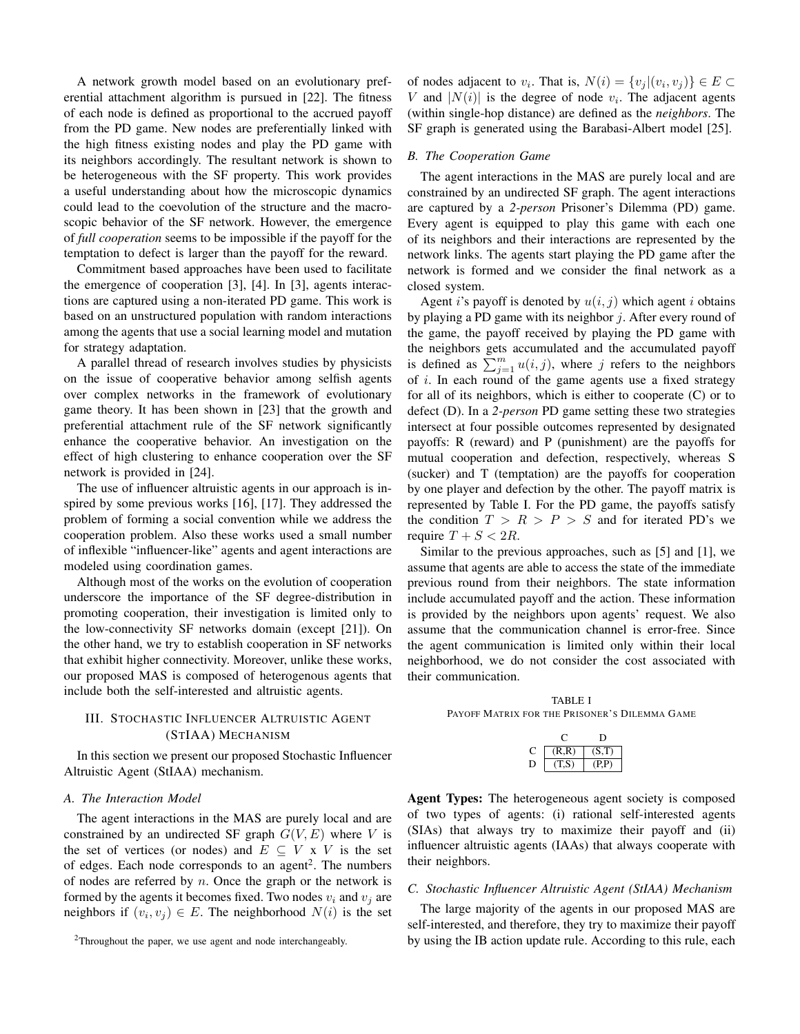A network growth model based on an evolutionary preferential attachment algorithm is pursued in [22]. The fitness of each node is defined as proportional to the accrued payoff from the PD game. New nodes are preferentially linked with the high fitness existing nodes and play the PD game with its neighbors accordingly. The resultant network is shown to be heterogeneous with the SF property. This work provides a useful understanding about how the microscopic dynamics could lead to the coevolution of the structure and the macroscopic behavior of the SF network. However, the emergence of *full cooperation* seems to be impossible if the payoff for the temptation to defect is larger than the payoff for the reward.

Commitment based approaches have been used to facilitate the emergence of cooperation [3], [4]. In [3], agents interactions are captured using a non-iterated PD game. This work is based on an unstructured population with random interactions among the agents that use a social learning model and mutation for strategy adaptation.

A parallel thread of research involves studies by physicists on the issue of cooperative behavior among selfish agents over complex networks in the framework of evolutionary game theory. It has been shown in [23] that the growth and preferential attachment rule of the SF network significantly enhance the cooperative behavior. An investigation on the effect of high clustering to enhance cooperation over the SF network is provided in [24].

The use of influencer altruistic agents in our approach is inspired by some previous works [16], [17]. They addressed the problem of forming a social convention while we address the cooperation problem. Also these works used a small number of inflexible "influencer-like" agents and agent interactions are modeled using coordination games.

Although most of the works on the evolution of cooperation underscore the importance of the SF degree-distribution in promoting cooperation, their investigation is limited only to the low-connectivity SF networks domain (except [21]). On the other hand, we try to establish cooperation in SF networks that exhibit higher connectivity. Moreover, unlike these works, our proposed MAS is composed of heterogenous agents that include both the self-interested and altruistic agents.

## III. STOCHASTIC INFLUENCER ALTRUISTIC AGENT (STIAA) MECHANISM

In this section we present our proposed Stochastic Influencer Altruistic Agent (StIAA) mechanism.

#### *A. The Interaction Model*

The agent interactions in the MAS are purely local and are constrained by an undirected SF graph  $G(V, E)$  where V is the set of vertices (or nodes) and  $E \subseteq V \times V$  is the set of edges. Each node corresponds to an agent<sup>2</sup>. The numbers of nodes are referred by  $n$ . Once the graph or the network is formed by the agents it becomes fixed. Two nodes  $v_i$  and  $v_j$  are neighbors if  $(v_i, v_j) \in E$ . The neighborhood  $N(i)$  is the set of nodes adjacent to  $v_i$ . That is,  $N(i) = \{v_j | (v_i, v_j)\} \in E \subset$ V and  $|N(i)|$  is the degree of node  $v_i$ . The adjacent agents (within single-hop distance) are defined as the *neighbors*. The SF graph is generated using the Barabasi-Albert model [25].

## *B. The Cooperation Game*

The agent interactions in the MAS are purely local and are constrained by an undirected SF graph. The agent interactions are captured by a *2-person* Prisoner's Dilemma (PD) game. Every agent is equipped to play this game with each one of its neighbors and their interactions are represented by the network links. The agents start playing the PD game after the network is formed and we consider the final network as a closed system.

Agent *i*'s payoff is denoted by  $u(i, j)$  which agent *i* obtains by playing a PD game with its neighbor  $j$ . After every round of the game, the payoff received by playing the PD game with the neighbors gets accumulated and the accumulated payoff is defined as  $\sum_{j=1}^{m} u(i, j)$ , where j refers to the neighbors of  $i$ . In each round of the game agents use a fixed strategy for all of its neighbors, which is either to cooperate (C) or to defect (D). In a *2-person* PD game setting these two strategies intersect at four possible outcomes represented by designated payoffs: R (reward) and P (punishment) are the payoffs for mutual cooperation and defection, respectively, whereas S (sucker) and T (temptation) are the payoffs for cooperation by one player and defection by the other. The payoff matrix is represented by Table I. For the PD game, the payoffs satisfy the condition  $T > R > P > S$  and for iterated PD's we require  $T + S < 2R$ .

Similar to the previous approaches, such as [5] and [1], we assume that agents are able to access the state of the immediate previous round from their neighbors. The state information include accumulated payoff and the action. These information is provided by the neighbors upon agents' request. We also assume that the communication channel is error-free. Since the agent communication is limited only within their local neighborhood, we do not consider the cost associated with their communication.

TABLE I PAYOFF MATRIX FOR THE PRISONER'S DILEMMA GAME

|   | (R,R) | (S, T) |
|---|-------|--------|
| ш | 71 S) | (P.P   |

Agent Types: The heterogeneous agent society is composed of two types of agents: (i) rational self-interested agents (SIAs) that always try to maximize their payoff and (ii) influencer altruistic agents (IAAs) that always cooperate with their neighbors.

## *C. Stochastic Influencer Altruistic Agent (StIAA) Mechanism*

The large majority of the agents in our proposed MAS are self-interested, and therefore, they try to maximize their payoff by using the IB action update rule. According to this rule, each

<sup>2</sup>Throughout the paper, we use agent and node interchangeably.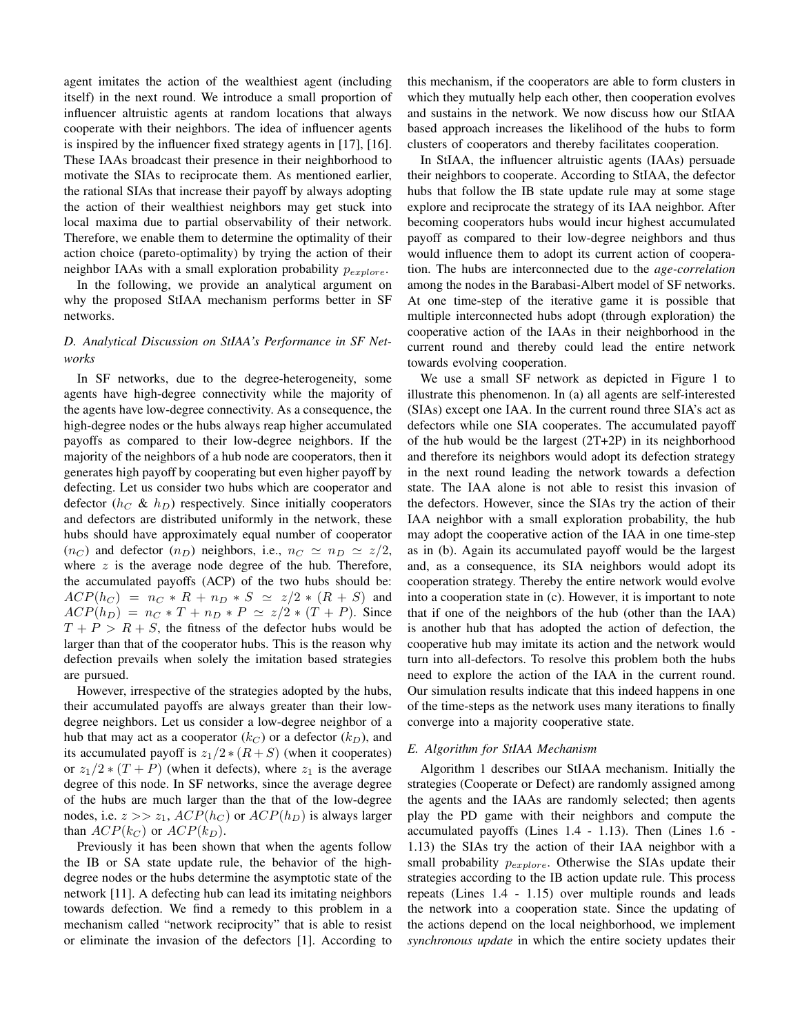agent imitates the action of the wealthiest agent (including itself) in the next round. We introduce a small proportion of influencer altruistic agents at random locations that always cooperate with their neighbors. The idea of influencer agents is inspired by the influencer fixed strategy agents in [17], [16]. These IAAs broadcast their presence in their neighborhood to motivate the SIAs to reciprocate them. As mentioned earlier, the rational SIAs that increase their payoff by always adopting the action of their wealthiest neighbors may get stuck into local maxima due to partial observability of their network. Therefore, we enable them to determine the optimality of their action choice (pareto-optimality) by trying the action of their neighbor IAAs with a small exploration probability  $p_{explore}$ .

In the following, we provide an analytical argument on why the proposed StIAA mechanism performs better in SF networks.

# *D. Analytical Discussion on StIAA's Performance in SF Networks*

In SF networks, due to the degree-heterogeneity, some agents have high-degree connectivity while the majority of the agents have low-degree connectivity. As a consequence, the high-degree nodes or the hubs always reap higher accumulated payoffs as compared to their low-degree neighbors. If the majority of the neighbors of a hub node are cooperators, then it generates high payoff by cooperating but even higher payoff by defecting. Let us consider two hubs which are cooperator and defector  $(h_C \& h_D)$  respectively. Since initially cooperators and defectors are distributed uniformly in the network, these hubs should have approximately equal number of cooperator  $(n_C)$  and defector  $(n_D)$  neighbors, i.e.,  $n_C \simeq n_D \simeq z/2$ , where  $z$  is the average node degree of the hub. Therefore, the accumulated payoffs (ACP) of the two hubs should be:  $ACP(h_C) = n_C * R + n_D * S \simeq z/2 * (R + S)$  and  $ACP(h_D) = n_C * T + n_D * P \simeq z/2 * (T + P)$ . Since  $T + P > R + S$ , the fitness of the defector hubs would be larger than that of the cooperator hubs. This is the reason why defection prevails when solely the imitation based strategies are pursued.

However, irrespective of the strategies adopted by the hubs, their accumulated payoffs are always greater than their lowdegree neighbors. Let us consider a low-degree neighbor of a hub that may act as a cooperator  $(k_C)$  or a defector  $(k_D)$ , and its accumulated payoff is  $z_1/2$  \*  $(R + S)$  (when it cooperates) or  $z_1/2 * (T + P)$  (when it defects), where  $z_1$  is the average degree of this node. In SF networks, since the average degree of the hubs are much larger than the that of the low-degree nodes, i.e.  $z >> z_1$ ,  $ACP(h_C)$  or  $ACP(h_D)$  is always larger than  $ACP(k_C)$  or  $ACP(k_D)$ .

Previously it has been shown that when the agents follow the IB or SA state update rule, the behavior of the highdegree nodes or the hubs determine the asymptotic state of the network [11]. A defecting hub can lead its imitating neighbors towards defection. We find a remedy to this problem in a mechanism called "network reciprocity" that is able to resist or eliminate the invasion of the defectors [1]. According to this mechanism, if the cooperators are able to form clusters in which they mutually help each other, then cooperation evolves and sustains in the network. We now discuss how our StIAA based approach increases the likelihood of the hubs to form clusters of cooperators and thereby facilitates cooperation.

In StIAA, the influencer altruistic agents (IAAs) persuade their neighbors to cooperate. According to StIAA, the defector hubs that follow the IB state update rule may at some stage explore and reciprocate the strategy of its IAA neighbor. After becoming cooperators hubs would incur highest accumulated payoff as compared to their low-degree neighbors and thus would influence them to adopt its current action of cooperation. The hubs are interconnected due to the *age-correlation* among the nodes in the Barabasi-Albert model of SF networks. At one time-step of the iterative game it is possible that multiple interconnected hubs adopt (through exploration) the cooperative action of the IAAs in their neighborhood in the current round and thereby could lead the entire network towards evolving cooperation.

We use a small SF network as depicted in Figure 1 to illustrate this phenomenon. In (a) all agents are self-interested (SIAs) except one IAA. In the current round three SIA's act as defectors while one SIA cooperates. The accumulated payoff of the hub would be the largest (2T+2P) in its neighborhood and therefore its neighbors would adopt its defection strategy in the next round leading the network towards a defection state. The IAA alone is not able to resist this invasion of the defectors. However, since the SIAs try the action of their IAA neighbor with a small exploration probability, the hub may adopt the cooperative action of the IAA in one time-step as in (b). Again its accumulated payoff would be the largest and, as a consequence, its SIA neighbors would adopt its cooperation strategy. Thereby the entire network would evolve into a cooperation state in (c). However, it is important to note that if one of the neighbors of the hub (other than the IAA) is another hub that has adopted the action of defection, the cooperative hub may imitate its action and the network would turn into all-defectors. To resolve this problem both the hubs need to explore the action of the IAA in the current round. Our simulation results indicate that this indeed happens in one of the time-steps as the network uses many iterations to finally converge into a majority cooperative state.

## *E. Algorithm for StIAA Mechanism*

Algorithm 1 describes our StIAA mechanism. Initially the strategies (Cooperate or Defect) are randomly assigned among the agents and the IAAs are randomly selected; then agents play the PD game with their neighbors and compute the accumulated payoffs (Lines 1.4 - 1.13). Then (Lines 1.6 - 1.13) the SIAs try the action of their IAA neighbor with a small probability  $p_{explore}$ . Otherwise the SIAs update their strategies according to the IB action update rule. This process repeats (Lines 1.4 - 1.15) over multiple rounds and leads the network into a cooperation state. Since the updating of the actions depend on the local neighborhood, we implement *synchronous update* in which the entire society updates their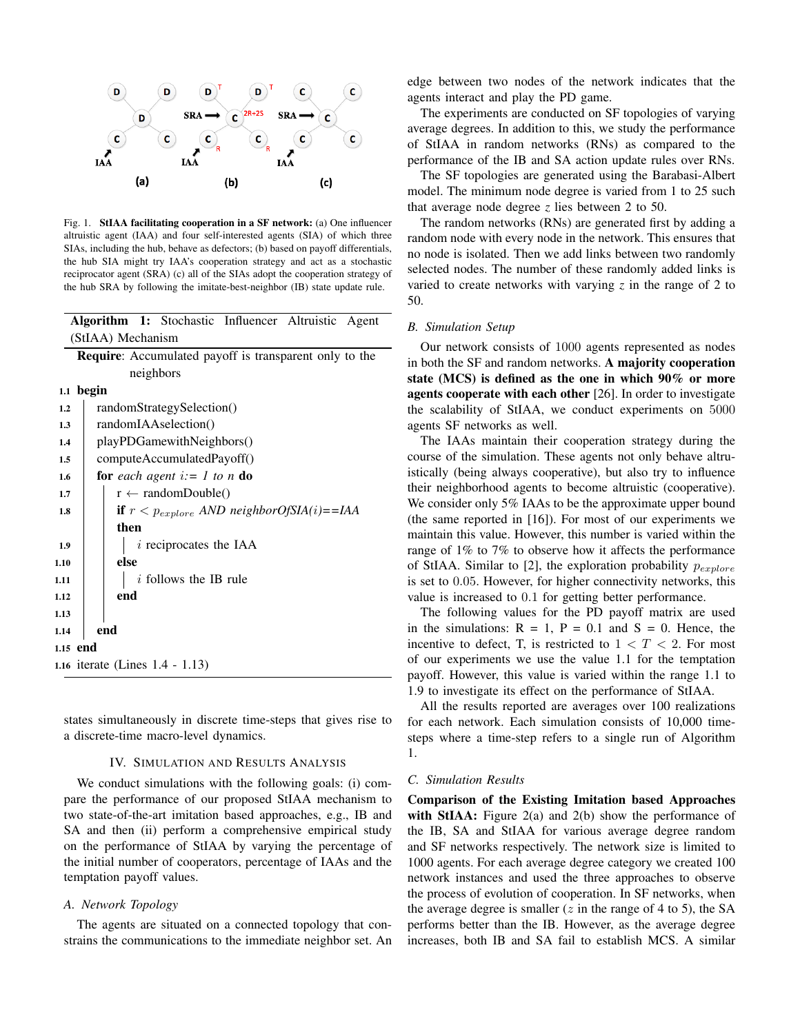

Fig. 1. StIAA facilitating cooperation in a SF network: (a) One influencer altruistic agent (IAA) and four self-interested agents (SIA) of which three SIAs, including the hub, behave as defectors; (b) based on payoff differentials, the hub SIA might try IAA's cooperation strategy and act as a stochastic reciprocator agent (SRA) (c) all of the SIAs adopt the cooperation strategy of the hub SRA by following the imitate-best-neighbor (IB) state update rule.

Algorithm 1: Stochastic Influencer Altruistic Agent

|      |           | (StIAA) Mechanism                                             |  |  |  |  |  |  |
|------|-----------|---------------------------------------------------------------|--|--|--|--|--|--|
|      |           | <b>Require:</b> Accumulated payoff is transparent only to the |  |  |  |  |  |  |
|      |           | neighbors                                                     |  |  |  |  |  |  |
|      | 1.1 begin |                                                               |  |  |  |  |  |  |
| 1.2  |           | randomStrategySelection()                                     |  |  |  |  |  |  |
| 1.3  |           | randomIAAselection()                                          |  |  |  |  |  |  |
| 1.4  |           | playPDGamewithNeighbors()                                     |  |  |  |  |  |  |
| 1.5  |           | computeAccumulatedPayoff()                                    |  |  |  |  |  |  |
| 1.6  |           | for each agent $i := 1$ to n do                               |  |  |  |  |  |  |
| 1.7  |           | $r \leftarrow \text{randomDouble}()$                          |  |  |  |  |  |  |
| 1.8  |           | <b>if</b> $r < p_{explore}$ AND neighborOfSIA(i)==IAA         |  |  |  |  |  |  |
|      |           | then                                                          |  |  |  |  |  |  |
| 1.9  |           | $i$ reciprocates the IAA                                      |  |  |  |  |  |  |
| 1.10 |           | else                                                          |  |  |  |  |  |  |
| 1.11 |           | $i$ follows the IB rule                                       |  |  |  |  |  |  |
| 1.12 |           | end                                                           |  |  |  |  |  |  |
| 1.13 |           |                                                               |  |  |  |  |  |  |
| 1.14 |           | end                                                           |  |  |  |  |  |  |
|      | 1.15 end  |                                                               |  |  |  |  |  |  |
|      |           | 1.16 iterate (Lines 1.4 - 1.13)                               |  |  |  |  |  |  |
|      |           |                                                               |  |  |  |  |  |  |

states simultaneously in discrete time-steps that gives rise to a discrete-time macro-level dynamics.

#### IV. SIMULATION AND RESULTS ANALYSIS

We conduct simulations with the following goals: (i) compare the performance of our proposed StIAA mechanism to two state-of-the-art imitation based approaches, e.g., IB and SA and then (ii) perform a comprehensive empirical study on the performance of StIAA by varying the percentage of the initial number of cooperators, percentage of IAAs and the temptation payoff values.

#### *A. Network Topology*

The agents are situated on a connected topology that constrains the communications to the immediate neighbor set. An edge between two nodes of the network indicates that the agents interact and play the PD game.

The experiments are conducted on SF topologies of varying average degrees. In addition to this, we study the performance of StIAA in random networks (RNs) as compared to the performance of the IB and SA action update rules over RNs.

The SF topologies are generated using the Barabasi-Albert model. The minimum node degree is varied from 1 to 25 such that average node degree *z* lies between 2 to 50.

The random networks (RNs) are generated first by adding a random node with every node in the network. This ensures that no node is isolated. Then we add links between two randomly selected nodes. The number of these randomly added links is varied to create networks with varying *z* in the range of 2 to 50.

## *B. Simulation Setup*

Our network consists of 1000 agents represented as nodes in both the SF and random networks. A majority cooperation state (MCS) is defined as the one in which 90% or more agents cooperate with each other [26]. In order to investigate the scalability of StIAA, we conduct experiments on 5000 agents SF networks as well.

The IAAs maintain their cooperation strategy during the course of the simulation. These agents not only behave altruistically (being always cooperative), but also try to influence their neighborhood agents to become altruistic (cooperative). We consider only 5% IAAs to be the approximate upper bound (the same reported in [16]). For most of our experiments we maintain this value. However, this number is varied within the range of 1% to 7% to observe how it affects the performance of StIAA. Similar to [2], the exploration probability  $p_{explore}$ is set to 0.05. However, for higher connectivity networks, this value is increased to 0.1 for getting better performance.

The following values for the PD payoff matrix are used in the simulations:  $R = 1$ ,  $P = 0.1$  and  $S = 0$ . Hence, the incentive to defect, T, is restricted to  $1 < T < 2$ . For most of our experiments we use the value 1.1 for the temptation payoff. However, this value is varied within the range 1.1 to 1.9 to investigate its effect on the performance of StIAA.

All the results reported are averages over 100 realizations for each network. Each simulation consists of 10,000 timesteps where a time-step refers to a single run of Algorithm 1.

#### *C. Simulation Results*

Comparison of the Existing Imitation based Approaches with StIAA: Figure  $2(a)$  and  $2(b)$  show the performance of the IB, SA and StIAA for various average degree random and SF networks respectively. The network size is limited to 1000 agents. For each average degree category we created 100 network instances and used the three approaches to observe the process of evolution of cooperation. In SF networks, when the average degree is smaller  $(z$  in the range of 4 to 5), the SA performs better than the IB. However, as the average degree increases, both IB and SA fail to establish MCS. A similar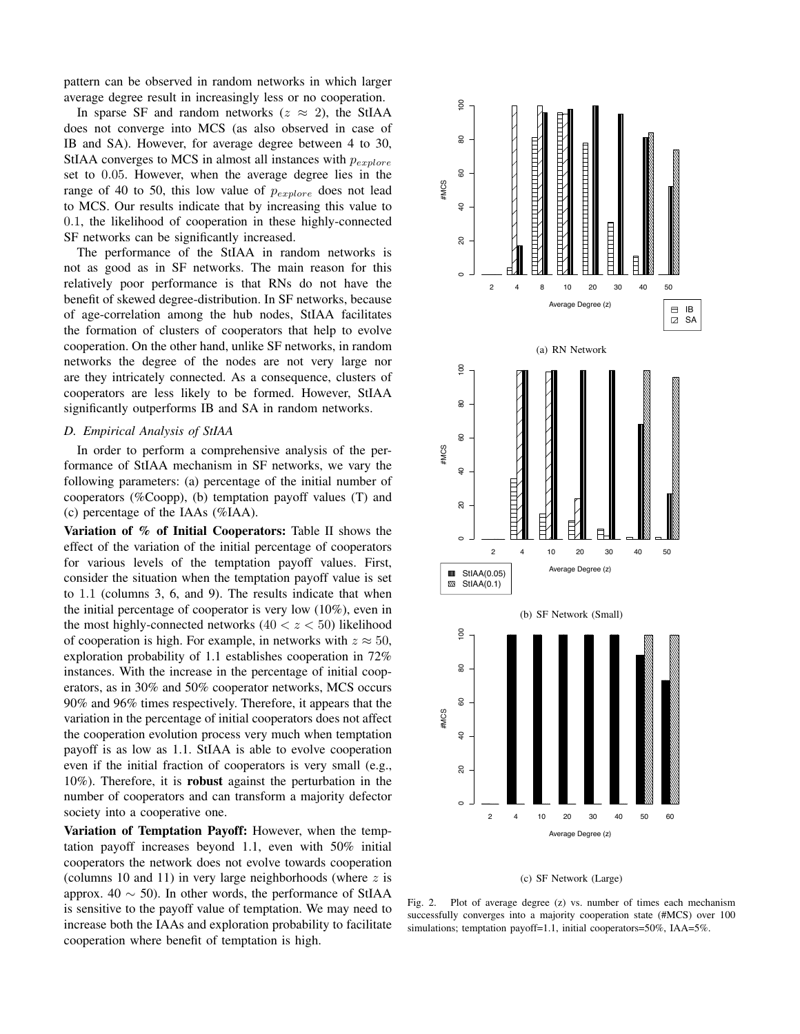pattern can be observed in random networks in which larger average degree result in increasingly less or no cooperation.

In sparse SF and random networks ( $z \approx 2$ ), the StIAA does not converge into MCS (as also observed in case of IB and SA). However, for average degree between 4 to 30, StIAA converges to MCS in almost all instances with  $p_{explore}$ set to 0.05. However, when the average degree lies in the range of 40 to 50, this low value of  $p_{explore}$  does not lead to MCS. Our results indicate that by increasing this value to 0.1, the likelihood of cooperation in these highly-connected SF networks can be significantly increased.

The performance of the StIAA in random networks is not as good as in SF networks. The main reason for this relatively poor performance is that RNs do not have the benefit of skewed degree-distribution. In SF networks, because of age-correlation among the hub nodes, StIAA facilitates the formation of clusters of cooperators that help to evolve cooperation. On the other hand, unlike SF networks, in random networks the degree of the nodes are not very large nor are they intricately connected. As a consequence, clusters of cooperators are less likely to be formed. However, StIAA significantly outperforms IB and SA in random networks.

## *D. Empirical Analysis of StIAA*

In order to perform a comprehensive analysis of the performance of StIAA mechanism in SF networks, we vary the following parameters: (a) percentage of the initial number of cooperators (%Coopp), (b) temptation payoff values (T) and (c) percentage of the IAAs (%IAA).

Variation of % of Initial Cooperators: Table II shows the effect of the variation of the initial percentage of cooperators for various levels of the temptation payoff values. First, consider the situation when the temptation payoff value is set to 1.1 (columns 3, 6, and 9). The results indicate that when the initial percentage of cooperator is very low (10%), even in the most highly-connected networks  $(40 < z < 50)$  likelihood of cooperation is high. For example, in networks with  $z \approx 50$ , exploration probability of 1.1 establishes cooperation in 72% instances. With the increase in the percentage of initial cooperators, as in 30% and 50% cooperator networks, MCS occurs 90% and 96% times respectively. Therefore, it appears that the variation in the percentage of initial cooperators does not affect the cooperation evolution process very much when temptation payoff is as low as 1.1. StIAA is able to evolve cooperation even if the initial fraction of cooperators is very small (e.g., 10%). Therefore, it is robust against the perturbation in the number of cooperators and can transform a majority defector society into a cooperative one.

Variation of Temptation Payoff: However, when the temptation payoff increases beyond 1.1, even with 50% initial cooperators the network does not evolve towards cooperation (columns 10 and 11) in very large neighborhoods (where  $z$  is approx. 40  $\sim$  50). In other words, the performance of StIAA is sensitive to the payoff value of temptation. We may need to increase both the IAAs and exploration probability to facilitate cooperation where benefit of temptation is high.





Fig. 2. Plot of average degree (z) vs. number of times each mechanism successfully converges into a majority cooperation state (#MCS) over 100 simulations; temptation payoff=1.1, initial cooperators=50%, IAA=5%.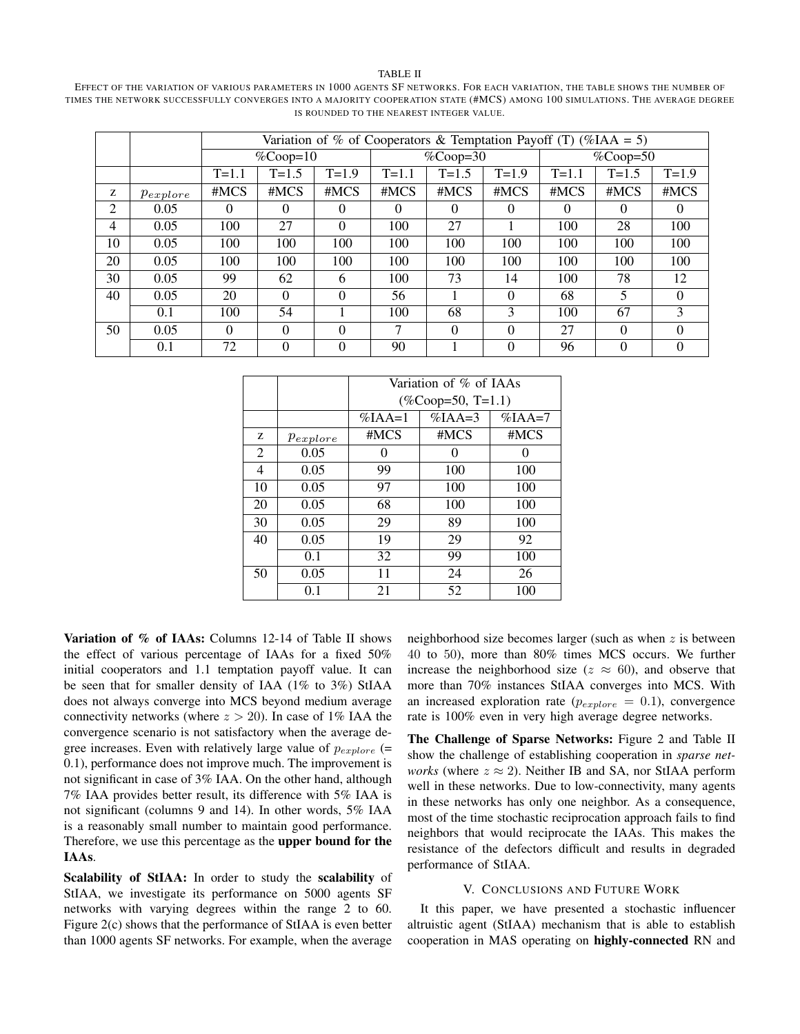#### TABLE II

EFFECT OF THE VARIATION OF VARIOUS PARAMETERS IN 1000 AGENTS SF NETWORKS. FOR EACH VARIATION, THE TABLE SHOWS THE NUMBER OF TIMES THE NETWORK SUCCESSFULLY CONVERGES INTO A MAJORITY COOPERATION STATE (#MCS) AMONG 100 SIMULATIONS. THE AVERAGE DEGREE IS ROUNDED TO THE NEAREST INTEGER VALUE.

|    |               | Variation of % of Cooperators & Temptation Payoff (T) (%IAA = 5) |           |            |           |                             |               |           |           |           |
|----|---------------|------------------------------------------------------------------|-----------|------------|-----------|-----------------------------|---------------|-----------|-----------|-----------|
|    |               | $\%$ Coop=10                                                     |           | $%Coop=30$ |           | $\sqrt{\% \text{Coop}}$ =50 |               |           |           |           |
|    |               | $T = 1.1$                                                        | $T = 1.5$ | $T=1.9$    | $T = 1.1$ | $T = 1.5$                   | $T = 1.9$     | $T = 1.1$ | $T = 1.5$ | $T = 1.9$ |
| z  | $p_{explore}$ | #MCS                                                             | #MCS      | #MCS       | #MCS      | #MCS                        | #MCS          | #MCS      | #MCS      | #MCS      |
| 2  | 0.05          | $\Omega$                                                         | $\Omega$  | 0          | $\Omega$  | $\Omega$                    | $\Omega$      | $\Omega$  | $\Omega$  | $\theta$  |
| 4  | 0.05          | 100                                                              | 27        | 0          | 100       | 27                          |               | 100       | 28        | 100       |
| 10 | 0.05          | 100                                                              | 100       | 100        | 100       | 100                         | 100           | 100       | 100       | 100       |
| 20 | 0.05          | 100                                                              | 100       | 100        | 100       | 100                         | 100           | 100       | 100       | 100       |
| 30 | 0.05          | 99                                                               | 62        | 6          | 100       | 73                          | 14            | 100       | 78        | 12        |
| 40 | 0.05          | 20                                                               | 0         | 0          | 56        |                             | $\Omega$      | 68        | 5         | 0         |
|    | 0.1           | 100                                                              | 54        |            | 100       | 68                          | $\mathcal{R}$ | 100       | 67        | 3         |
| 50 | 0.05          | $\Omega$                                                         | 0         | 0          | 7         | $\Omega$                    | $\Omega$      | 27        | $\Omega$  | 0         |
|    | 0.1           | 72                                                               | 0         | 0          | 90        |                             | $\Omega$      | 96        | $\Omega$  | 0         |

|    |               | Variation of % of IAAs |            |            |  |  |  |
|----|---------------|------------------------|------------|------------|--|--|--|
|    |               | $(\%$ Coop=50, T=1.1)  |            |            |  |  |  |
|    |               | $\%$ IAA=1             | $\%$ JAA=3 | $\%$ IAA=7 |  |  |  |
| Z  | $p_{explore}$ | #MCS                   | #MCS       | #MCS       |  |  |  |
| 2  | 0.05          | 0                      | 0          |            |  |  |  |
| 4  | 0.05          | 99                     | 100        | 100        |  |  |  |
| 10 | 0.05          | 97                     | 100        | 100        |  |  |  |
| 20 | 0.05          | 68                     | 100        | 100        |  |  |  |
| 30 | 0.05          | 29                     | 89         | 100        |  |  |  |
| 40 | 0.05          | 19                     | 29         | 92         |  |  |  |
|    | 0.1           | 32                     | 99         | 100        |  |  |  |
| 50 | 0.05          | 11                     | 24         | 26         |  |  |  |
|    | 0.1           | 21                     | 52         | 100        |  |  |  |

Variation of % of IAAs: Columns 12-14 of Table II shows the effect of various percentage of IAAs for a fixed 50% initial cooperators and 1.1 temptation payoff value. It can be seen that for smaller density of IAA (1% to 3%) StIAA does not always converge into MCS beyond medium average connectivity networks (where  $z > 20$ ). In case of 1% IAA the convergence scenario is not satisfactory when the average degree increases. Even with relatively large value of  $p_{explore}$  (= 0.1), performance does not improve much. The improvement is not significant in case of 3% IAA. On the other hand, although 7% IAA provides better result, its difference with 5% IAA is not significant (columns 9 and 14). In other words, 5% IAA is a reasonably small number to maintain good performance. Therefore, we use this percentage as the upper bound for the IAAs.

Scalability of StIAA: In order to study the scalability of StIAA, we investigate its performance on 5000 agents SF networks with varying degrees within the range 2 to 60. Figure 2(c) shows that the performance of StIAA is even better than 1000 agents SF networks. For example, when the average neighborhood size becomes larger (such as when  $z$  is between 40 to 50), more than 80% times MCS occurs. We further increase the neighborhood size ( $z \approx 60$ ), and observe that more than 70% instances StIAA converges into MCS. With an increased exploration rate ( $p_{explore} = 0.1$ ), convergence rate is 100% even in very high average degree networks.

The Challenge of Sparse Networks: Figure 2 and Table II show the challenge of establishing cooperation in *sparse networks* (where  $z \approx 2$ ). Neither IB and SA, nor StIAA perform well in these networks. Due to low-connectivity, many agents in these networks has only one neighbor. As a consequence, most of the time stochastic reciprocation approach fails to find neighbors that would reciprocate the IAAs. This makes the resistance of the defectors difficult and results in degraded performance of StIAA.

## V. CONCLUSIONS AND FUTURE WORK

It this paper, we have presented a stochastic influencer altruistic agent (StIAA) mechanism that is able to establish cooperation in MAS operating on highly-connected RN and